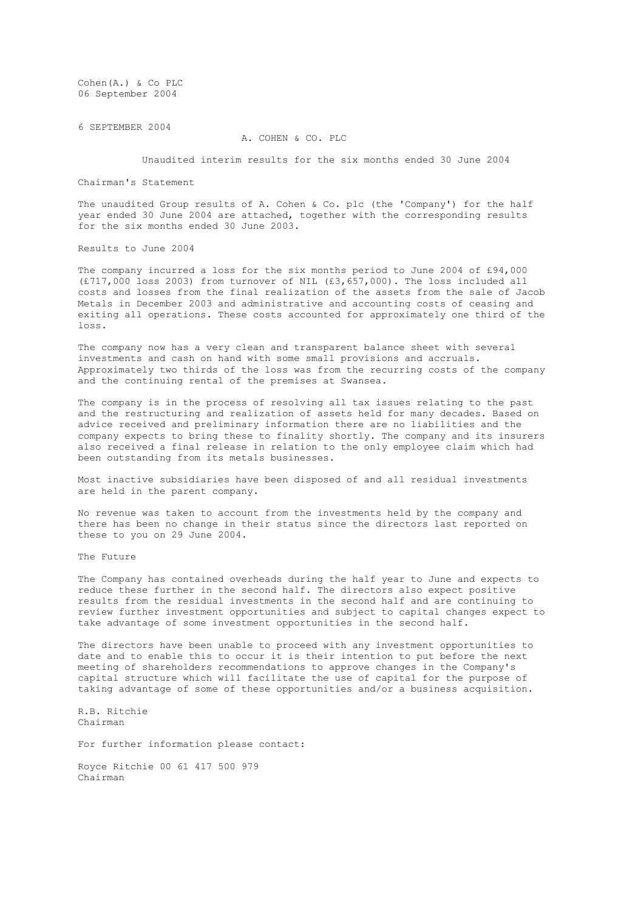Cohen(A.) & Co PLC 06 September 2004

6 SEPTEMBER 2004

## A. COHEN & CO. PLC

Unaudited interim results for the six months ended 30 June 2004

Chairman's Statement

The unaudited Group results of A. Cohen & Co. plc (the 'Company') for the half year ended 30 June 2004 are attached, together with the corresponding results for the six months ended 30 June 2003.

Results to June 2004

The company incurred a loss for the six months period to June 2004 of £94,000 (£717,000 loss 2003) from turnover of NIL (£3,657,000). The loss included all costs and losses from the final realization of the assets from the sale of Jacob Metals in December 2003 and administrative and accounting costs of ceasing and exiting all operations. These costs accounted for approximately one third of the loss.

The company now has a very clean and transparent balance sheet with several investments and cash on hand with some small provisions and accruals. Approximately two thirds of the loss was from the recurring costs of the company and the continuing rental of the premises at Swansea.

The company is in the process of resolving all tax issues relating to the past and the restructuring and realization of assets held for many decades. Based on advice received and preliminary information there are no liabilities and the company expects to bring these to finality shortly. The company and its insurers also received a final release in relation to the only employee claim which had been outstanding from its metals businesses.

Most inactive subsidiaries have been disposed of and all residual investments are held in the parent company.

No revenue was taken to account from the investments held by the company and there has been no change in their status since the directors last reported on these to you on 29 June 2004.

The Future

The Company has contained overheads during the half year to June and expects to reduce these further in the second half. The directors also expect positive results from the residual investments in the second half and are continuing to review further investment opportunities and subject to capital changes expect to take advantage of some investment opportunities in the second half.

The directors have been unable to proceed with any investment opportunities to date and to enable this to occur it is their intention to put before the next meeting of shareholders recommendations to approve changes in the Company's capital structure which will facilitate the use of capital for the purpose of taking advantage of some of these opportunities and/or a business acquisition.

R.B. Ritchie Chairman

For further information please contact:

Royce Ritchie 00 61 417 500 979 Chairman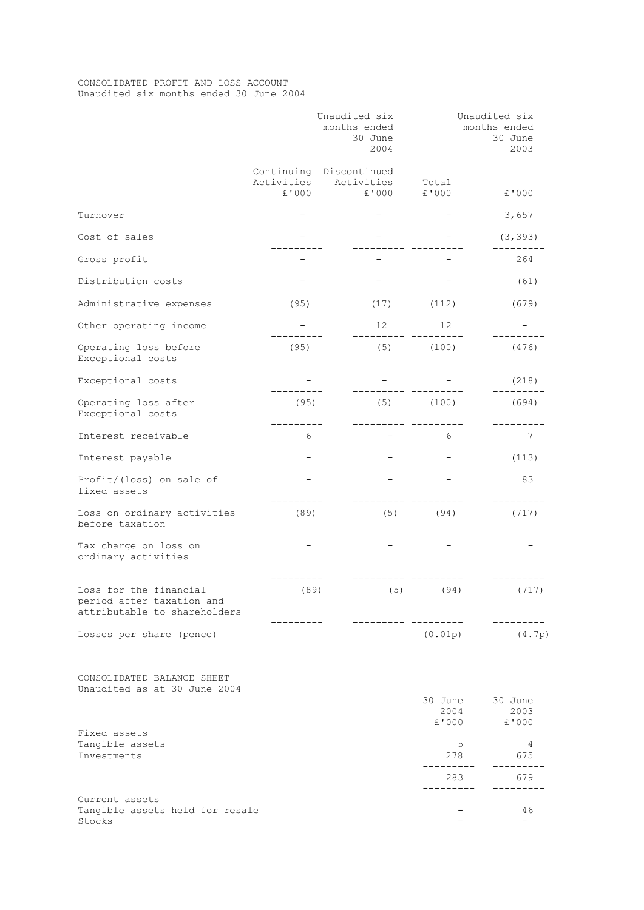## CONSOLIDATED PROFIT AND LOSS ACCOUNT Unaudited six months ended 30 June 2004

|                                                                                     | Unaudited six<br>months ended<br>30 June<br>2004 |                                                | Unaudited six<br>months ended<br>30 June<br>2003 |               |  |
|-------------------------------------------------------------------------------------|--------------------------------------------------|------------------------------------------------|--------------------------------------------------|---------------|--|
|                                                                                     | Activities<br>£'000                              | Continuing Discontinued<br>Activities<br>£'000 | Total<br>£'000                                   | £'000         |  |
| Turnover                                                                            |                                                  |                                                |                                                  | 3,657         |  |
| Cost of sales                                                                       |                                                  |                                                |                                                  | (3, 393)      |  |
| Gross profit                                                                        |                                                  |                                                |                                                  | 264           |  |
| Distribution costs                                                                  |                                                  |                                                |                                                  | (61)          |  |
| Administrative expenses                                                             | (95)                                             | (17)                                           | (112)                                            | (679)         |  |
| Other operating income                                                              |                                                  | 12                                             | 12                                               |               |  |
| Operating loss before<br>Exceptional costs                                          | (95)                                             | (5)                                            | (100)                                            | (476)         |  |
| Exceptional costs                                                                   |                                                  |                                                |                                                  | (218)         |  |
| Operating loss after<br>Exceptional costs                                           | (95)                                             | (5)                                            | (100)                                            | (694)         |  |
| Interest receivable                                                                 | 6                                                |                                                | 6                                                | 7             |  |
| Interest payable                                                                    |                                                  |                                                |                                                  | (113)         |  |
| Profit/(loss) on sale of<br>fixed assets                                            |                                                  |                                                |                                                  | 83            |  |
| Loss on ordinary activities<br>before taxation                                      | (89)                                             | (5)                                            | (94)                                             | (717)         |  |
| Tax charge on loss on<br>ordinary activities                                        |                                                  |                                                |                                                  |               |  |
| Loss for the financial<br>period after taxation and<br>attributable to shareholders | (89)                                             | (5)                                            | (94)                                             | (717)         |  |
| Losses per share (pence)                                                            |                                                  |                                                | (0.01p)                                          | (4.7p)        |  |
| CONSOLIDATED BALANCE SHEET<br>Unaudited as at 30 June 2004                          |                                                  |                                                | 30 June                                          | 30 June       |  |
|                                                                                     |                                                  |                                                | 2004<br>£'000                                    | 2003<br>£'000 |  |
| Fixed assets<br>Tangible assets<br>Investments                                      |                                                  |                                                | 5<br>278                                         | 4<br>675      |  |
|                                                                                     |                                                  |                                                | 283<br>--------                                  | 679           |  |
| Current assets<br>Tangible assets held for resale                                   |                                                  |                                                |                                                  | 46            |  |
| Stocks                                                                              |                                                  |                                                |                                                  |               |  |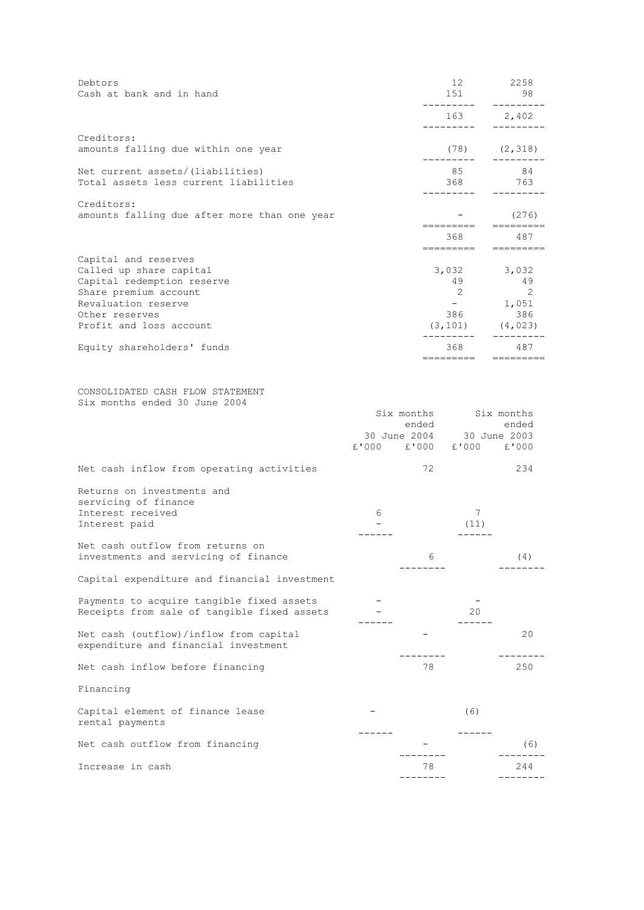| Debtors<br>Cash at bank and in hand                                                                                                                                        |                         |                                     | 12<br>151<br>--------                             | 2258<br>98<br>.                                           |
|----------------------------------------------------------------------------------------------------------------------------------------------------------------------------|-------------------------|-------------------------------------|---------------------------------------------------|-----------------------------------------------------------|
|                                                                                                                                                                            |                         |                                     | 163                                               | 2,402                                                     |
| Creditors:<br>amounts falling due within one year                                                                                                                          |                         |                                     | (78)<br>_________                                 | (2, 318)                                                  |
| Net current assets/(liabilities)<br>Total assets less current liabilities                                                                                                  |                         |                                     | 85<br>368                                         | 84<br>763                                                 |
| Creditors:<br>amounts falling due after more than one year                                                                                                                 |                         |                                     | =========                                         | (276)                                                     |
|                                                                                                                                                                            |                         |                                     | 368<br>---------                                  | 487<br>$=$ ========                                       |
| Capital and reserves<br>Called up share capital<br>Capital redemption reserve<br>Share premium account<br>Revaluation reserve<br>Other reserves<br>Profit and loss account |                         |                                     | 3,032<br>49<br>2<br>$\sim$ $-$<br>386<br>(3, 101) | 3,032<br>49<br>$\overline{2}$<br>1,051<br>386<br>(4, 023) |
| Equity shareholders' funds                                                                                                                                                 |                         |                                     | 368<br>---------                                  | 487                                                       |
| CONSOLIDATED CASH FLOW STATEMENT<br>Six months ended 30 June 2004                                                                                                          | £'000 £'000 £'000 £'000 | Six months<br>ended<br>30 June 2004 |                                                   | Six months<br>ended<br>30 June 2003                       |
| Net cash inflow from operating activities                                                                                                                                  |                         | 72                                  |                                                   | 234                                                       |
| Returns on investments and<br>servicing of finance<br>Interest received<br>Interest paid                                                                                   | 6<br>$\equiv$<br>-----  |                                     | 7<br>(11)<br>------                               |                                                           |
| Net cash outflow from returns on<br>investments and servicing of finance                                                                                                   |                         | 6                                   |                                                   | (4)                                                       |
| Capital expenditure and financial investment                                                                                                                               |                         |                                     |                                                   |                                                           |
| Payments to acquire tangible fixed assets<br>Receipts from sale of tangible fixed assets                                                                                   |                         |                                     | 20<br>------                                      |                                                           |
| Net cash (outflow)/inflow from capital<br>expenditure and financial investment                                                                                             |                         |                                     |                                                   | 20                                                        |
| Net cash inflow before financing                                                                                                                                           |                         | 78                                  |                                                   | 250                                                       |
| Financing                                                                                                                                                                  |                         |                                     |                                                   |                                                           |
| Capital element of finance lease<br>rental payments                                                                                                                        |                         |                                     | (6)                                               |                                                           |
| Net cash outflow from financing                                                                                                                                            |                         |                                     |                                                   | (6)                                                       |
| Increase in cash                                                                                                                                                           |                         | 78<br>$- - - - -$                   |                                                   | 244                                                       |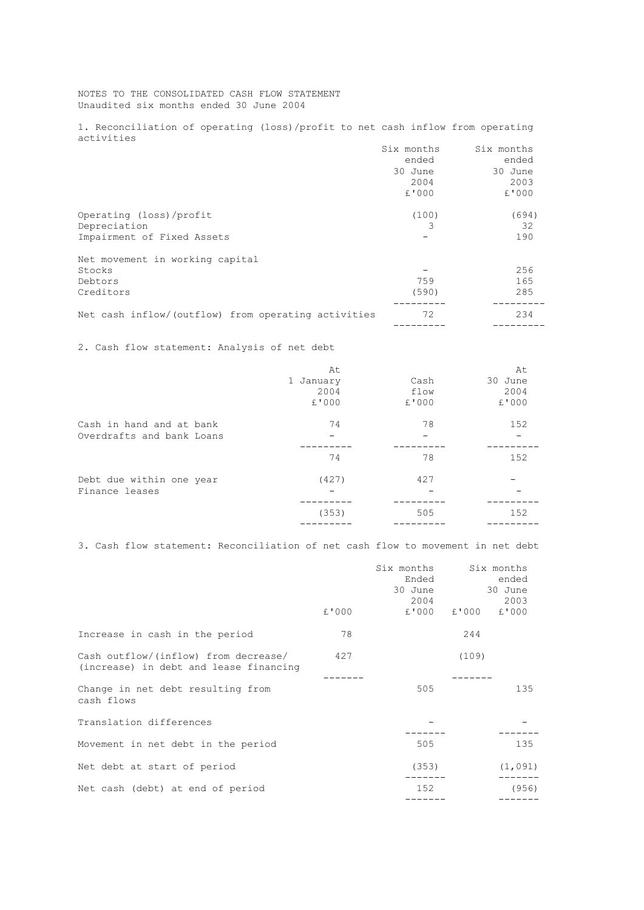NOTES TO THE CONSOLIDATED CASH FLOW STATEMENT Unaudited six months ended 30 June 2004

1. Reconciliation of operating (loss)/profit to net cash inflow from operating activities

|                                                     | Six months | Six months |
|-----------------------------------------------------|------------|------------|
|                                                     | ended      | ended      |
|                                                     | 30 June    | 30 June    |
|                                                     | 2004       | 2003       |
|                                                     | £'000      | £'000      |
| Operating (loss)/profit                             | (100)      | (694)      |
| Depreciation                                        | 3          | 32         |
| Impairment of Fixed Assets                          |            | 190        |
| Net movement in working capital                     |            |            |
| Stocks                                              |            | 256        |
| Debtors                                             | 759        | 165        |
| Creditors                                           | (590)      | 285        |
| Net cash inflow/(outflow) from operating activities | 72         | 234        |
|                                                     |            |            |

2. Cash flow statement: Analysis of net debt

|                           | At<br>1 January<br>2004<br>£'000 | Cash<br>flow<br>£'000 | At<br>30 June<br>2004<br>£'000 |
|---------------------------|----------------------------------|-----------------------|--------------------------------|
| Cash in hand and at bank  | 74                               | 78                    | 152                            |
| Overdrafts and bank Loans | 74                               | 78                    | 152                            |
| Debt due within one year  | (427)                            | 427                   | 152                            |
| Finance leases            | (353)                            | 505                   |                                |

3. Cash flow statement: Reconciliation of net cash flow to movement in net debt

|                                                                                |       | Six months<br>Ended<br>30 June<br>2004 |       | Six months<br>ended<br>30 June<br>2003 |
|--------------------------------------------------------------------------------|-------|----------------------------------------|-------|----------------------------------------|
|                                                                                | £'000 | £'000                                  | £'000 | £'000                                  |
| Increase in cash in the period                                                 | 78    |                                        | 244   |                                        |
| Cash outflow/(inflow) from decrease/<br>(increase) in debt and lease financing | 427   |                                        | (109) |                                        |
| Change in net debt resulting from<br>cash flows                                |       | 505                                    |       | 135                                    |
| Translation differences                                                        |       |                                        |       |                                        |
| Movement in net debt in the period                                             |       | 505                                    |       | 135                                    |
| Net debt at start of period                                                    |       | (353)                                  |       | (1, 091)                               |
| Net cash (debt) at end of period                                               |       | 152                                    |       | (956)                                  |
|                                                                                |       |                                        |       |                                        |